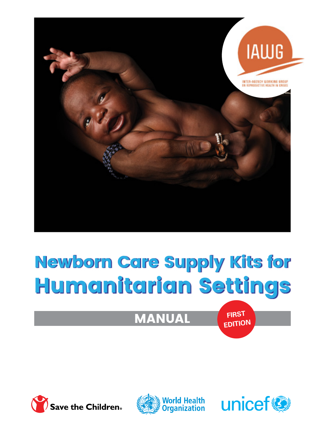

# Newborn Care Supply Kits for Humanitarian Settings

### **MANUAL** FIRST





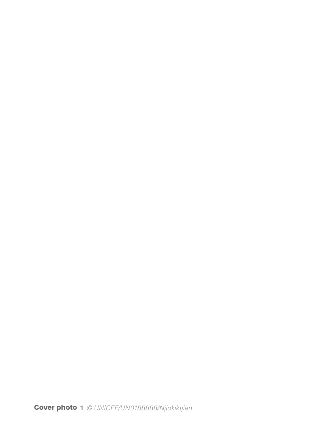Cover photo **1** *© UNICEF/UN0188888/Njiokiktjien*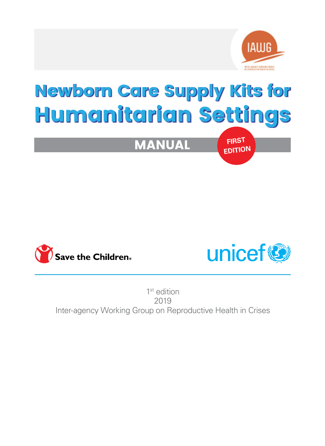

# Newborn Care Supply Kits for Humanitarian Settings

### **FIRST** MANUAL **EDITION**





1<sup>st</sup> edition 2019 Inter-agency Working Group on Reproductive Health in Crises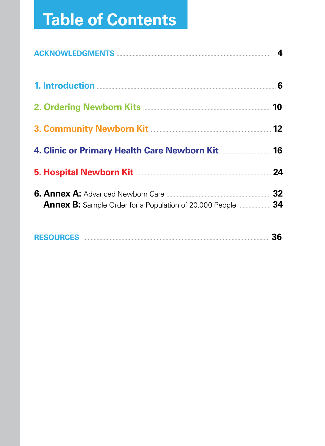## **Table of Contents**

| 4. Clinic or Primary Health Care Newborn Kit <b>Martin 18</b> |    |
|---------------------------------------------------------------|----|
| 5. Hospital Newborn Kit <b>Manual Accord 24</b>               |    |
|                                                               |    |
|                                                               | 36 |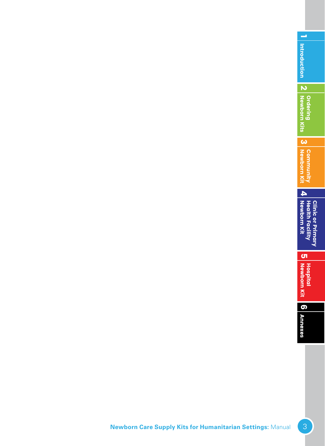| ,                        |
|--------------------------|
| ê                        |
| $\overline{\phantom{0}}$ |
| ?<br>?                   |
|                          |
|                          |
| 5<br><b>CONTRACTOR</b>   |
| ļ<br>ì                   |
|                          |
| ŕ                        |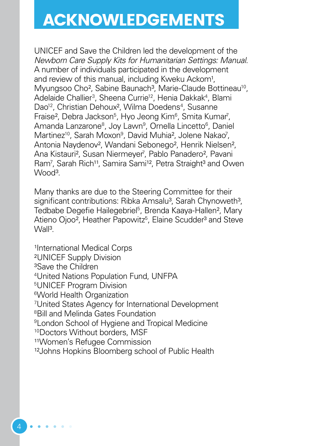### ACKNOWLEDGEMENTS

UNICEF and Save the Children led the development of the *Newborn Care Supply Kits for Humanitarian Settings: Manual*. A number of individuals participated in the development and review of this manual, including Kweku Ackom<sup>1</sup>, Myungsoo Cho<sup>2</sup>, Sabine Baunach<sup>3</sup>, Marie-Claude Bottineau<sup>10</sup>, Adelaide Challier<sup>3</sup>, Sheena Currie<sup>12</sup>, Henia Dakkak<sup>4</sup>, Blami Dao<sup>12</sup>, Christian Dehoux<sup>2</sup>, Wilma Doedens<sup>4</sup>, Susanne Fraise<sup>2</sup>, Debra Jackson<sup>5</sup>, Hyo Jeong Kim<sup>6</sup>, Smita Kumar<sup>7</sup>, Amanda Lanzarone<sup>8</sup>, Joy Lawn<sup>9</sup>, Ornella Lincetto<sup>6</sup>, Daniel Martinez<sup>10</sup>, Sarah Moxon<sup>9</sup>, David Muhia<sup>2</sup>, Jolene Nakao<sup>7</sup>, Antonia Naydenov², Wandani Sebonego², Henrik Nielsen², Ana Kistauri<sup>2</sup>, Susan Niermeyer<sup>7</sup>, Pablo Panadero<sup>2</sup>, Pavani Ram<sup>7</sup>, Sarah Rich<sup>11</sup>, Samira Sami<sup>12</sup>, Petra Straight<sup>3</sup> and Owen Wood<sup>3</sup>.

Many thanks are due to the Steering Committee for their significant contributions: Ribka Amsalu<sup>3</sup>, Sarah Chynoweth<sup>3</sup>, Tedbabe Degefie Hailegebriel<sup>5</sup>, Brenda Kaaya-Hallen<sup>2</sup>, Mary Atieno Ojoo<sup>2</sup>, Heather Papowitz<sup>5</sup>, Elaine Scudder<sup>3</sup> and Steve Wall<sup>3</sup>.

1International Medical Corps ²UNICEF Supply Division <sup>3</sup>Save the Children 4 United Nations Population Fund, UNFPA 5 UNICEF Program Division 6World Health Organization 7 United States Agency for International Development <sup>8</sup>Bill and Melinda Gates Foundation 9London School of Hygiene and Tropical Medicine <sup>10</sup>Doctors Without borders, MSF <sup>11</sup>Women's Refugee Commission <sup>12</sup>Johns Hopkins Bloomberg school of Public Health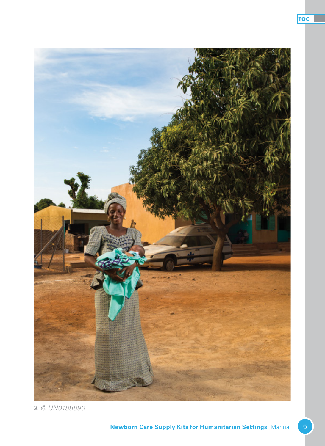

**2** *© UN0188890*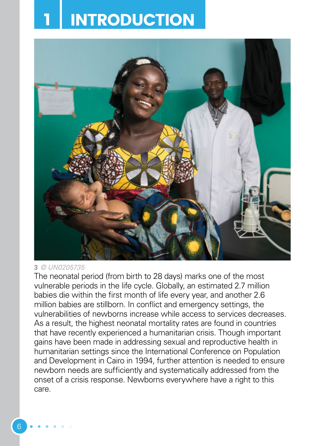# **INTRODUCTION**



#### **3** *© UN0205735*

The neonatal period (from birth to 28 days) marks one of the most vulnerable periods in the life cycle. Globally, an estimated 2.7 million babies die within the first month of life every year, and another 2.6 million babies are stillborn. In conflict and emergency settings, the vulnerabilities of newborns increase while access to services decreases. As a result, the highest neonatal mortality rates are found in countries that have recently experienced a humanitarian crisis. Though important gains have been made in addressing sexual and reproductive health in humanitarian settings since the International Conference on Population and Development in Cairo in 1994, further attention is needed to ensure newborn needs are sufficiently and systematically addressed from the onset of a crisis response. Newborns everywhere have a right to this care.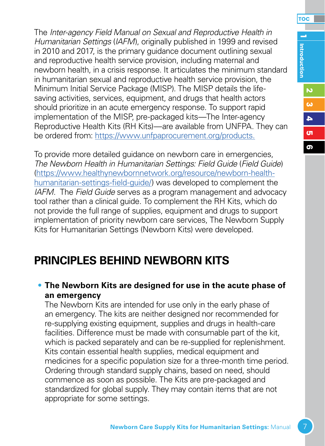The *Inter-agency Field Manual on Sexual and Reproductive Health in Humanitarian Settings* (*IAFM*), originally published in 1999 and revised in 2010 and 2017, is the primary guidance document outlining sexual and reproductive health service provision, including maternal and newborn health, in a crisis response. It articulates the minimum standard in humanitarian sexual and reproductive health service provision, the Minimum Initial Service Package (MISP)*.* The MISP details the lifesaving activities, services, equipment, and drugs that health actors should prioritize in an acute emergency response. To support rapid implementation of the MISP, pre-packaged kits—The Inter-agency Reproductive Health Kits (RH Kits)—are available from UNFPA. They can be ordered from:<https://www.unfpaprocurement.org/products>. manifarian Settings (IAFM), originally published in 1999 and revised<br>2010 and 2017, is the primary guidance document ordining sexual<br>dependent of the some setting and revised to represent the minimum standard<br>dependential

To provide more detailed guidance on newborn care in emergencies, *The Newborn Health in Humanitarian Settings: Field Guide* (*Field Guide*) [\(https://www.healthynewbornnetwork.org/resource/newborn-health](https://www.healthynewbornnetwork.org/resource/newborn-health-humanitarian-settings-field-guide/)[humanitarian-settings-field-guide/\)](https://www.healthynewbornnetwork.org/resource/newborn-health-humanitarian-settings-field-guide/) was developed to complement the *IAFM*. The *Field Guide* serves as a program management and advocacy tool rather than a clinical guide. To complement the RH Kits, which do not provide the full range of supplies, equipment and drugs to support implementation of priority newborn care services, The Newborn Supply Kits for Humanitarian Settings (Newborn Kits) were developed.

### **PRINCIPLES BEHIND NEWBORN KITS**

#### **• The Newborn Kits are designed for use in the acute phase of an emergency**

The Newborn Kits are intended for use only in the early phase of an emergency. The kits are neither designed nor recommended for re-supplying existing equipment, supplies and drugs in health-care facilities. Difference must be made with consumable part of the kit, which is packed separately and can be re-supplied for replenishment. Kits contain essential health supplies, medical equipment and medicines for a specific population size for a three-month time period. Ordering through standard supply chains, based on need, should commence as soon as possible. The Kits are pre-packaged and standardized for global supply. They may contain items that are not

 $\mathbf{v}$ 

TOC

3 4

<mark>თ</mark><br>თ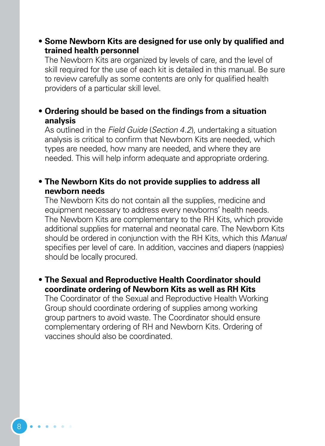#### • **Some Newborn Kits are designed for use only by qualified and trained health personnel**

The Newborn Kits are organized by levels of care, and the level of skill required for the use of each kit is detailed in this manual. Be sure to review carefully as some contents are only for qualified health providers of a particular skill level.

#### • **Ordering should be based on the findings from a situation analysis**

As outlined in the *Field Guide* (*Section 4.2*), undertaking a situation analysis is critical to confirm that Newborn Kits are needed, which types are needed, how many are needed, and where they are needed. This will help inform adequate and appropriate ordering.

#### • **The Newborn Kits do not provide supplies to address all newborn needs**

The Newborn Kits do not contain all the supplies, medicine and equipment necessary to address every newborns' health needs. The Newborn Kits are complementary to the RH Kits, which provide additional supplies for maternal and neonatal care. The Newborn Kits should be ordered in conjunction with the RH Kits, which this *Manual*  specifies per level of care. In addition, vaccines and diapers (nappies) should be locally procured.

#### • **The Sexual and Reproductive Health Coordinator should coordinate ordering of Newborn Kits as well as RH Kits**

The Coordinator of the Sexual and Reproductive Health Working Group should coordinate ordering of supplies among working group partners to avoid waste. The Coordinator should ensure complementary ordering of RH and Newborn Kits. Ordering of vaccines should also be coordinated.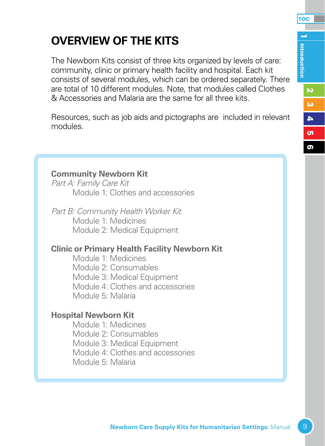### **OVERVIEW OF THE KITS**

The Newborn Kits consist of three kits organized by levels of care: community, clinic or primary health facility and hospital. Each kit consists of several modules, which can be ordered separately. There are total of 10 different modules. Note, that modules called Clothes & Accessories and Malaria are the same for all three kits.

Resources, such as job aids and pictographs are included in relevant modules.

#### **Community Newborn Kit**

*Part A: Family Care Kit* Module 1: Clothes and accessories

*Part B: Community Health Worker Kit* Module 1: Medicines Module 2: Medical Equipment

#### **Clinic or Primary Health Facility Newborn Kit**

Module 1: Medicines Module 2: Consumables Module 3: Medical Equipment Module 4: Clothes and accessories Module 5: Malaria

#### **Hospital Newborn Kit**

Module 1: Medicines Module 2: Consumables Module 3: Medical Equipment Module 4: Clothes and accessories Module 5: Malaria

 $\overline{\phantom{a}}$ Introduction Introduction  $\mathbf{z}$  $\frac{3}{4}$ <mark>თ</mark><br>თ

**TOC**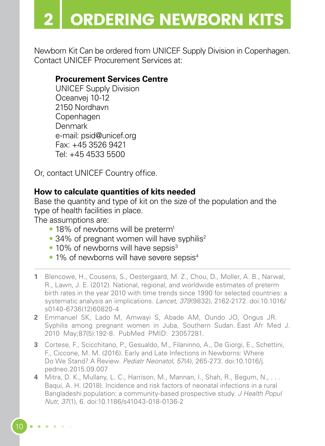# 2 | ORDERING NEWBORN KITS

Newborn Kit Can be ordered from UNICEF Supply Division in Copenhagen. Contact UNICEF Procurement Services at:

#### **Procurement Services Centre**

UNICEF Supply Division Oceanvej 10-12 2150 Nordhavn **Copenhagen Denmark** e-mail: psid@unicef.org Fax: +45 3526 9421 Tel: +45 4533 5500

Or, contact UNICEF Country office.

#### **How to calculate quantities of kits needed**

Base the quantity and type of kit on the size of the population and the type of health facilities in place.

The assumptions are:

- 18% of newborns will be preterm<sup>1</sup>
- 34% of pregnant women will have syphilis<sup>2</sup>
- $\bullet$  10% of newborns will have sepsis $3$
- 1% of newborns will have severe sepsis<sup>4</sup>
- **1** Blencowe, H., Cousens, S., Oestergaard, M. Z., Chou, D., Moller, A. B., Narwal, R., Lawn, J. E. (2012). National, regional, and worldwide estimates of preterm birth rates in the year 2010 with time trends since 1990 for selected countries: a systematic analysis an iimplications. *Lancet, 379*(9832), 2162-2172. doi:10.1016/ s0140-6736(12)60820-4
- **2** Emmanuel SK, Lado M, Amwayi S, Abade AM, Oundo JO, Ongus JR. Syphilis among pregnant women in Juba, Southern Sudan. East Afr Med J. 2010 May;87(5):192-8. PubMed PMID: 23057281.
- **3** Cortese, F., Scicchitano, P., Gesualdo, M., Filaninno, A., De Giorgi, E., Schettini, F., Ciccone, M. M. (2016). Early and Late Infections in Newborns: Where Do We Stand? A Review. *Pediatr Neonatol, 57*(4), 265-273. doi:10.1016/j. pedneo.2015.09.007
- **4** Mitra, D. K., Mullany, L. C., Harrison, M., Mannan, I., Shah, R., Begum, N., . . . Baqui, A. H. (2018). Incidence and risk factors of neonatal infections in a rural Bangladeshi population: a community-based prospective study. *J Health Popul Nutr, 37*(1), 6. doi:10.1186/s41043-018-0136-2

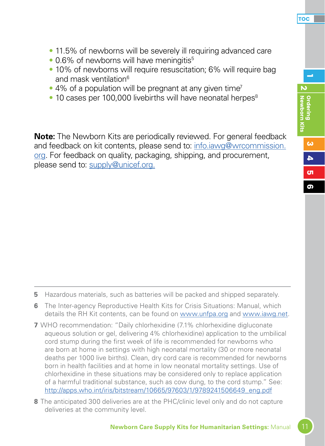$\overline{v}$ 

**Newborn Kits** 

3 | 4 | 5 | 6

ω  $\blacktriangle$ ថា ൭

- 11.5% of newborns will be severely ill requiring advanced care
- $\cdot$  0.6% of newborns will have meningitis<sup>5</sup>
- 10% of newborns will require resuscitation; 6% will require bag and mask ventilation<sup>6</sup>
- $\bullet$  4% of a population will be pregnant at any given time<sup>7</sup>
- 10 cases per 100,000 livebirths will have neonatal herpes<sup>8</sup>

**Note:** The Newborn Kits are periodically reviewed. For general feedback and feedback on kit contents, please send to: [info.iawg@wrcommission.](mailto:info.iawg%40wrcommission.org?subject=) [org](mailto:info.iawg%40wrcommission.org?subject=). For feedback on quality, packaging, shipping, and procurement, please send to: [supply@unicef.org](mailto:psid@unicef.org).

- **5** Hazardous materials, such as batteries will be packed and shipped separately.
- **6** The Inter-agency Reproductive Health Kits for Crisis Situations: Manual, which details the RH Kit contents, can be found on [www.unfpa.org](http://www.unfpa.org) and [www.iawg.net.](http://www.iawg.net)
- **7** WHO recommendation: "Daily chlorhexidine (7.1% chlorhexidine digluconate aqueous solution or gel, delivering 4% chlorhexidine) application to the umbilical cord stump during the first week of life is recommended for newborns who are born at home in settings with high neonatal mortality (30 or more neonatal deaths per 1000 live births). Clean, dry cord care is recommended for newborns born in health facilities and at home in low neonatal mortality settings. Use of chlorhexidine in these situations may be considered only to replace application of a harmful traditional substance, such as cow dung, to the cord stump." See: [http://apps.who.int/iris/bitstream/10665/97603/1/9789241506649\\_eng.pdf](https://apps.who.int/iris/bitstream/handle/10665/97603/9789241506649;jsessionid=0975549E88493ADDD901945D8840B6FA?sequence=1)
- **8** The anticipated 300 deliveries are at the PHC/clinic level only and do not capture deliveries at the community level.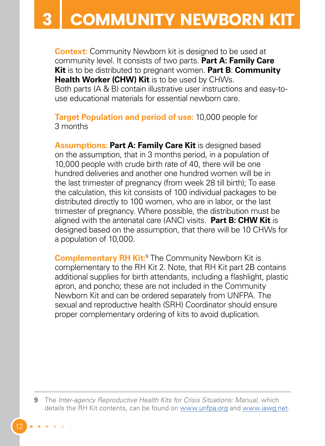### 3 COMMUNITY NEWBORN KIT

**Context:** Community Newborn kit is designed to be used at community level. It consists of two parts. **Part A: Family Care Kit** is to be distributed to pregnant women. **Part B**: **Community Health Worker (CHW) Kit** is to be used by CHWs. Both parts (A & B) contain illustrative user instructions and easy-touse educational materials for essential newborn care.

**Target Population and period of use:** 10,000 people for 3 months

**Assumptions: Part A: Family Care Kit** is designed based on the assumption, that in 3 months period, in a population of 10,000 people with crude birth rate of 40, there will be one hundred deliveries and another one hundred women will be in the last trimester of pregnancy (from week 28 till birth); To ease the calculation, this kit consists of 100 individual packages to be distributed directly to 100 women, who are in labor, or the last trimester of pregnancy. Where possible, the distribution must be aligned with the antenatal care (ANC) visits. **Part B: CHW Kit** is designed based on the assumption, that there will be 10 CHWs for a population of 10,000.

**Complementary RH Kit:**<sup>9</sup> The Community Newborn Kit is complementary to the RH Kit 2. Note, that RH Kit part 2B contains additional supplies for birth attendants, including a flashlight, plastic apron, and poncho; these are not included in the Community Newborn Kit and can be ordered separately from UNFPA. The sexual and reproductive health (SRH) Coordinator should ensure proper complementary ordering of kits to avoid duplication.

**9** The *Inter-agency Reproductive Health Kits for Crisis Situations: Manual*, which details the RH Kit contents, can be found on [www.unfpa.org](http://www.unfpa.org) and [www.iawg.net.](http://www.iawg.net)

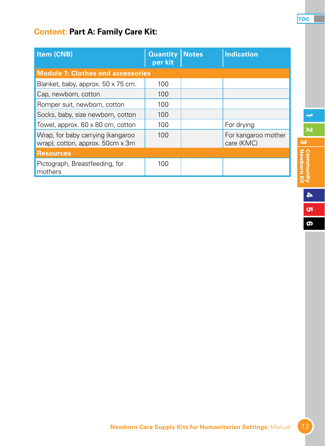#### **Content: Part A: Family Care Kit:**

| Item (CNB)                                                            | <b>Quantity</b><br>per kit | <b>Notes</b> | <b>Indication</b>                 |
|-----------------------------------------------------------------------|----------------------------|--------------|-----------------------------------|
| <b>Module 1: Clothes and accessories</b>                              |                            |              |                                   |
| Blanket, baby, approx. 50 x 75 cm.                                    | 100                        |              |                                   |
| Cap, newborn, cotton                                                  | 100                        |              |                                   |
| Romper suit, newborn, cotton                                          | 100                        |              |                                   |
| Socks, baby, size newborn, cotton                                     | 100                        |              |                                   |
| Towel, approx. 60 x 80 cm, cotton                                     | 100                        |              | For drying                        |
| Wrap, for baby carrying (kangaroo<br>wrap), cotton, approx. 50cm x 3m | 100                        |              | For kangaroo mother<br>care (KMC) |
| <b>Resources</b>                                                      |                            |              |                                   |
| Pictograph, Breastfeeding, for<br>mothers                             | 100                        |              |                                   |

 $\rightarrow$ 1 2 community<br>2 3 Newborn Kit  $\overline{\mathbf{v}}$ 3<br>S<br>
Newborn Kit 4

> on 6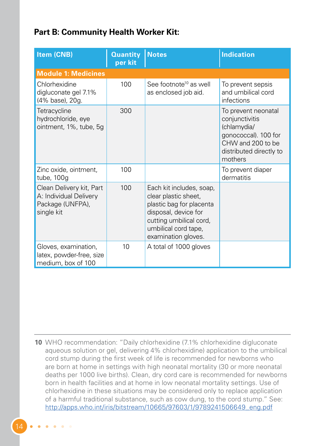#### **Part B: Community Health Worker Kit:**

| Item (CNB)                                                                           | <b>Quantity</b><br>per kit | <b>Notes</b>                                                                                                                                                                   | <b>Indication</b>                                                                                                                       |
|--------------------------------------------------------------------------------------|----------------------------|--------------------------------------------------------------------------------------------------------------------------------------------------------------------------------|-----------------------------------------------------------------------------------------------------------------------------------------|
| <b>Module 1: Medicines</b>                                                           |                            |                                                                                                                                                                                |                                                                                                                                         |
| Chlorhexidine<br>digluconate gel 7.1%<br>(4% base), 20g.                             | 100                        | See footnote <sup>10</sup> as well<br>as enclosed job aid.                                                                                                                     | To prevent sepsis<br>and umbilical cord<br>infections                                                                                   |
| Tetracycline<br>hydrochloride, eye<br>ointment, 1%, tube, 5g                         | 300                        |                                                                                                                                                                                | To prevent neonatal<br>conjunctivitis<br>(chlamydia/<br>gonococcal). 100 for<br>CHW and 200 to be<br>distributed directly to<br>mothers |
| Zinc oxide, ointment,<br>tube, 100g                                                  | 100                        |                                                                                                                                                                                | To prevent diaper<br>dermatitis                                                                                                         |
| Clean Delivery kit, Part<br>A: Individual Delivery<br>Package (UNFPA),<br>single kit | 100                        | Each kit includes, soap,<br>clear plastic sheet,<br>plastic bag for placenta<br>disposal, device for<br>cutting umbilical cord,<br>umbilical cord tape,<br>examination gloves. |                                                                                                                                         |
| Gloves, examination,<br>latex, powder-free, size<br>medium, box of 100               | 10                         | A total of 1000 gloves                                                                                                                                                         |                                                                                                                                         |

**10** WHO recommendation: "Daily chlorhexidine (7.1% chlorhexidine digluconate aqueous solution or gel, delivering 4% chlorhexidine) application to the umbilical cord stump during the first week of life is recommended for newborns who are born at home in settings with high neonatal mortality (30 or more neonatal deaths per 1000 live births). Clean, dry cord care is recommended for newborns born in health facilities and at home in low neonatal mortality settings. Use of chlorhexidine in these situations may be considered only to replace application of a harmful traditional substance, such as cow dung, to the cord stump." See: http://apps.who.int/iris/bitstream/10665/97603/1/9789241506649\_eng.pdf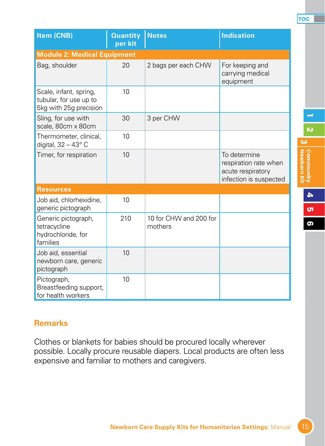| Item (CNB)                                                                 | <b>Quantity</b><br>per kit | <b>Notes</b>                      | <b>Indication</b>                                                                    |
|----------------------------------------------------------------------------|----------------------------|-----------------------------------|--------------------------------------------------------------------------------------|
| <b>Module 2: Medical Equipment</b>                                         |                            |                                   |                                                                                      |
| Bag, shoulder                                                              | 20                         | 2 bags per each CHW               | For keeping and<br>carrying medical<br>equipment                                     |
| Scale, infant, spring,<br>tubular, for use up to<br>5kg with 25g precision | 10                         |                                   |                                                                                      |
| Sling, for use with<br>scale, 80cm x 80cm                                  | 30                         | 3 per CHW                         |                                                                                      |
| Thermometer, clinical,<br>digital, $32 - 43^\circ$ C                       | 10                         |                                   |                                                                                      |
| Timer, for respiration                                                     | 10                         |                                   | To determine<br>respiration rate when<br>acute respiratory<br>infection is suspected |
| <b>Resources</b>                                                           |                            |                                   |                                                                                      |
| Job aid, chlorhexidine,<br>generic pictograph                              | 10                         |                                   |                                                                                      |
| Generic pictograph,<br>tetracycline<br>hydrochloride, for<br>families      | 210                        | 10 for CHW and 200 for<br>mothers |                                                                                      |
| Job aid, essential<br>newborn care, generic<br>pictograph                  | 10                         |                                   |                                                                                      |
| Pictograph,<br>Breastfeeding support,<br>for health workers                | 10                         |                                   |                                                                                      |

**TOC** 

#### **Remarks**

Clothes or blankets for babies should be procured locally wherever possible. Locally procure reusable diapers. Local products are often less expensive and familiar to mothers and caregivers.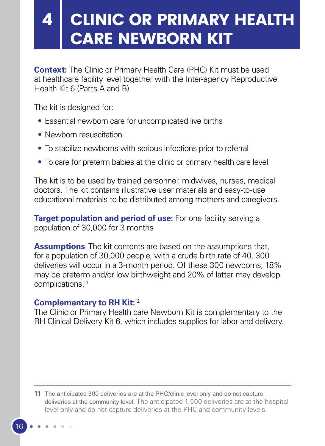## 4 CLINIC OR PRIMARY HEALTH CARE NEWBORN KIT

**Context:** The Clinic or Primary Health Care (PHC) Kit must be used at healthcare facility level together with the Inter-agency Reproductive Health Kit 6 (Parts A and B).

The kit is designed for:

- **•** Essential newborn care for uncomplicated live births
- **•** Newborn resuscitation
- **•** To stabilize newborns with serious infections prior to referral
- **•** To care for preterm babies at the clinic or primary health care level

The kit is to be used by trained personnel: midwives, nurses, medical doctors. The kit contains illustrative user materials and easy-to-use educational materials to be distributed among mothers and caregivers.

**Target population and period of use:** For one facility serving a population of 30,000 for 3 months

**Assumptions** The kit contents are based on the assumptions that, for a population of 30,000 people, with a crude birth rate of 40, 300 deliveries will occur in a 3-month period. Of these 300 newborns, 18% may be preterm and/or low birthweight and 20% of latter may develop complications.11

#### **Complementary to RH Kit:**<sup>12</sup>

The Clinic or Primary Health care Newborn Kit is complementary to the RH Clinical Delivery Kit 6, which includes supplies for labor and delivery.

**11** The anticipated 300 deliveries are at the PHC/clinic level only and do not capture deliveries at the community level. The anticipated 1,500 deliveries are at the hospital level only and do not capture deliveries at the PHC and community levels.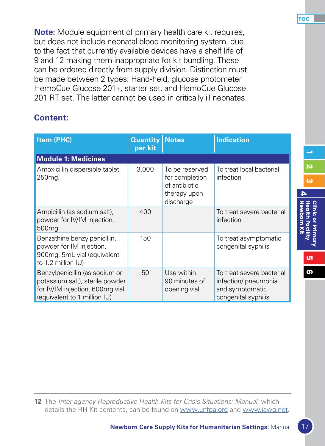**Note:** Module equipment of primary health care kit requires,<br>but does not include neonatal blood monitoring system, due to the fact that currently available devices have a shelf life of 9 and 12 making them inappropriate for kit bundling. These can be ordered directly from supply division. Distinction must be made between 2 types: Hand-held, glucose photometer HemoCue Glucose 201+, starter set. and HemoCue Glucose 201 RT set. The latter cannot be used in critically ill neonates.

#### **Content:**

| Item (PHC)                                                                                                                           | <b>Quantity</b><br>per kit | <b>Notes</b>                                                                   | <b>Indication</b>                                                                           |
|--------------------------------------------------------------------------------------------------------------------------------------|----------------------------|--------------------------------------------------------------------------------|---------------------------------------------------------------------------------------------|
| <b>Module 1: Medicines</b>                                                                                                           |                            |                                                                                |                                                                                             |
| Amoxicillin dispersible tablet,<br>250 <sub>mq</sub>                                                                                 | 3.000                      | To be reserved<br>for completion<br>of antibiotic<br>therapy upon<br>discharge | To treat local bacterial<br>infection                                                       |
| Ampicillin (as sodium salt),<br>powder for IV/IM injection,<br>500 <sub>mq</sub>                                                     | 400                        |                                                                                | To treat severe bacterial<br>infection                                                      |
| Benzathine benzylpenicillin,<br>powder for IM injection,<br>900mg, 5mL vial (equivalent<br>to 1.2 million IU)                        | 150                        |                                                                                | To treat asymptomatic<br>congenital syphilis                                                |
| Benzylpenicillin (as sodium or<br>potassium salt), sterile powder<br>for IV/IM injection, 600mg vial<br>(equivalent to 1 million IU) | 50                         | Use within<br>90 minutes of<br>opening vial                                    | To treat severe bacterial<br>infection/ pneumonia<br>and symptomatic<br>congenital syphilis |

**12** The *Inter-agency Reproductive Health Kits for Crisis Situations: Manual*, which details the RH Kit contents, can be found on [www.unfpa.org](http://www.unfpa.org) and [www.iawg.net.](http://www.iawg.net) 5 ග

 $\boldsymbol{\omega}$ 

|<br>|<br>|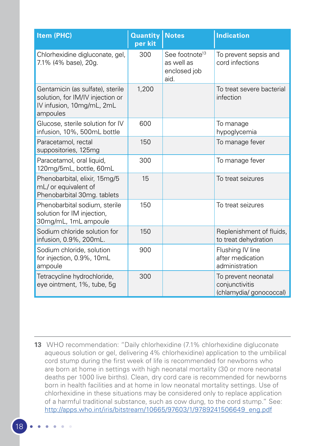| Item (PHC)                                                                                                    | <b>Quantity</b><br>per kit | <b>Notes</b>                                                     | <b>Indication</b>                                                |
|---------------------------------------------------------------------------------------------------------------|----------------------------|------------------------------------------------------------------|------------------------------------------------------------------|
| Chlorhexidine digluconate, gel,<br>7.1% (4% base), 20g.                                                       | 300                        | See footnote <sup>13</sup><br>as well as<br>enclosed job<br>aid. | To prevent sepsis and<br>cord infections                         |
| Gentamicin (as sulfate), sterile<br>solution, for IM/IV injection or<br>IV infusion, 10mg/mL, 2mL<br>ampoules | 1.200                      |                                                                  | To treat severe bacterial<br>infection                           |
| Glucose, sterile solution for IV<br>infusion, 10%, 500mL bottle                                               | 600                        |                                                                  | To manage<br>hypoglycemia                                        |
| Paracetamol, rectal<br>suppositories, 125mg                                                                   | 150                        |                                                                  | To manage fever                                                  |
| Paracetamol, oral liquid,<br>120mg/5mL, bottle, 60mL                                                          | 300                        |                                                                  | To manage fever                                                  |
| Phenobarbital, elixir, 15mg/5<br>mL/ or equivalent of<br>Phenobarbital 30mg. tablets                          | 15                         |                                                                  | To treat seizures                                                |
| Phenobarbital sodium, sterile<br>solution for IM injection,<br>30mg/mL, 1mL ampoule                           | 150                        |                                                                  | To treat seizures                                                |
| Sodium chloride solution for<br>infusion, 0.9%, 200mL.                                                        | 150                        |                                                                  | Replenishment of fluids,<br>to treat dehydration                 |
| Sodium chloride, solution<br>for injection, 0.9%, 10mL<br>ampoule                                             | 900                        |                                                                  | Flushing IV line<br>after medication<br>administration           |
| Tetracycline hydrochloride,<br>eye ointment, 1%, tube, 5g                                                     | 300                        |                                                                  | To prevent neonatal<br>conjunctivitis<br>(chlamydia/ gonococcal) |

**13** WHO recommendation: "Daily chlorhexidine (7.1% chlorhexidine digluconate aqueous solution or gel, delivering 4% chlorhexidine) application to the umbilical cord stump during the first week of life is recommended for newborns who are born at home in settings with high neonatal mortality (30 or more neonatal deaths per 1000 live births). Clean, dry cord care is recommended for newborns born in health facilities and at home in low neonatal mortality settings. Use of chlorhexidine in these situations may be considered only to replace application of a harmful traditional substance, such as cow dung, to the cord stump." See: http://apps.who.int/iris/bitstream/10665/97603/1/9789241506649\_eng.pdf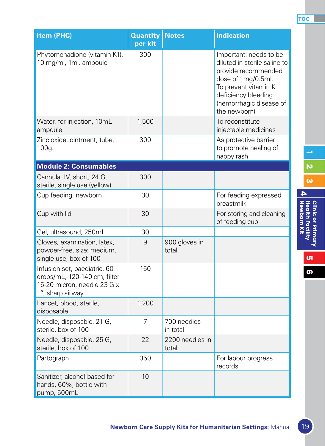| Item (PHC)                                                                                                      | <b>Quantity</b><br>per kit | <b>Notes</b>             | <b>Indication</b>                                                                                                                                                                             |                                     |
|-----------------------------------------------------------------------------------------------------------------|----------------------------|--------------------------|-----------------------------------------------------------------------------------------------------------------------------------------------------------------------------------------------|-------------------------------------|
| Phytomenadione (vitamin K1),<br>10 mg/ml, 1ml. ampoule                                                          | 300                        |                          | Important: needs to be<br>diluted in sterile saline to<br>provide recommended<br>dose of 1mg/0.5ml.<br>To prevent vitamin K<br>deficiency bleeding<br>(hemorrhagic disease of<br>the newborn) |                                     |
| Water, for injection, 10mL<br>ampoule                                                                           | 1,500                      |                          | To reconstitute<br>injectable medicines                                                                                                                                                       |                                     |
| Zinc oxide, ointment, tube,<br>100g.                                                                            | 300                        |                          | As protective barrier<br>to promote healing of<br>nappy rash                                                                                                                                  |                                     |
| <b>Module 2: Consumables</b>                                                                                    |                            |                          |                                                                                                                                                                                               | N                                   |
| Cannula, IV, short, 24 G,<br>sterile, single use (yellow)                                                       | 300                        |                          |                                                                                                                                                                                               | ω                                   |
| Cup feeding, newborn                                                                                            | 30                         |                          | For feeding expressed<br>breastmilk                                                                                                                                                           |                                     |
| Cup with lid                                                                                                    | 30                         |                          | For storing and cleaning<br>of feeding cup                                                                                                                                                    | <b>Newborn Kit</b><br>Health Facili |
| Gel, ultrasound, 250mL                                                                                          | 30                         |                          |                                                                                                                                                                                               |                                     |
| Gloves, examination, latex,<br>powder-free, size: medium,<br>single use, box of 100                             | 9                          | 900 gloves in<br>total   |                                                                                                                                                                                               | σī                                  |
| Infusion set, paediatric, 60<br>drops/mL, 120-140 cm, filter<br>15-20 micron, needle 23 G x<br>1", sharp airway | 150                        |                          |                                                                                                                                                                                               | ၈                                   |
| Lancet, blood, sterile,<br>disposable                                                                           | 1,200                      |                          |                                                                                                                                                                                               |                                     |
| Needle, disposable, 21 G,<br>sterile, box of 100                                                                | 7                          | 700 needles<br>in total  |                                                                                                                                                                                               |                                     |
| Needle, disposable, 25 G,<br>sterile, box of 100                                                                | 22                         | 2200 needles in<br>total |                                                                                                                                                                                               |                                     |
| Partograph                                                                                                      | 350                        |                          | For labour progress<br>records                                                                                                                                                                |                                     |
| Sanitizer, alcohol-based for<br>hands, 60%, bottle with<br>pump, 500mL                                          | 10                         |                          |                                                                                                                                                                                               |                                     |

TOC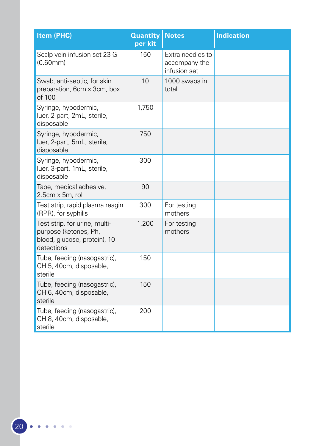| Item (PHC)                                                                                           | <b>Quantity</b><br>per kit | <b>Notes</b>                                      | <b>Indication</b> |
|------------------------------------------------------------------------------------------------------|----------------------------|---------------------------------------------------|-------------------|
| Scalp vein infusion set 23 G<br>(0.60mm)                                                             | 150                        | Extra needles to<br>accompany the<br>infusion set |                   |
| Swab, anti-septic, for skin<br>preparation, 6cm x 3cm, box<br>of 100                                 | 10                         | 1000 swabs in<br>total                            |                   |
| Syringe, hypodermic,<br>luer, 2-part, 2mL, sterile,<br>disposable                                    | 1,750                      |                                                   |                   |
| Syringe, hypodermic,<br>luer, 2-part, 5mL, sterile,<br>disposable                                    | 750                        |                                                   |                   |
| Syringe, hypodermic,<br>luer, 3-part, 1mL, sterile,<br>disposable                                    | 300                        |                                                   |                   |
| Tape, medical adhesive,<br>2.5cm x 5m, roll                                                          | 90                         |                                                   |                   |
| Test strip, rapid plasma reagin<br>(RPR), for syphilis                                               | 300                        | For testing<br>mothers                            |                   |
| Test strip, for urine, multi-<br>purpose (ketones, Ph,<br>blood, glucose, protein), 10<br>detections | 1,200                      | For testing<br>mothers                            |                   |
| Tube, feeding (nasogastric),<br>CH 5, 40cm, disposable,<br>sterile                                   | 150                        |                                                   |                   |
| Tube, feeding (nasogastric),<br>CH 6, 40cm, disposable,<br>sterile                                   | 150                        |                                                   |                   |
| Tube, feeding (nasogastric),<br>CH 8, 40cm, disposable,<br>sterile                                   | 200                        |                                                   |                   |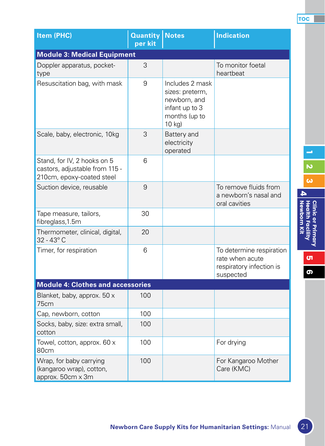| Item (PHC)                                                                                 | <b>Quantity</b><br>per kit | <b>Notes</b>                                                                                    | <b>Indication</b>                                                                    |
|--------------------------------------------------------------------------------------------|----------------------------|-------------------------------------------------------------------------------------------------|--------------------------------------------------------------------------------------|
| <b>Module 3: Medical Equipment</b>                                                         |                            |                                                                                                 |                                                                                      |
| Doppler apparatus, pocket-<br>type                                                         | 3                          |                                                                                                 | To monitor foetal<br>heartbeat                                                       |
| Resuscitation bag, with mask                                                               | 9                          | Includes 2 mask<br>sizes: preterm,<br>newborn, and<br>infant up to 3<br>months (up to<br>10 kg) |                                                                                      |
| Scale, baby, electronic, 10kg                                                              | 3                          | Battery and<br>electricity<br>operated                                                          |                                                                                      |
| Stand, for IV, 2 hooks on 5<br>castors, adjustable from 115 -<br>210cm, epoxy-coated steel | 6                          |                                                                                                 |                                                                                      |
| Suction device, reusable                                                                   | 9                          |                                                                                                 | To remove fluids from<br>a newborn's nasal and<br>oral cavities                      |
| Tape measure, tailors,<br>fibreglass, 1.5m                                                 | 30                         |                                                                                                 |                                                                                      |
| Thermometer, clinical, digital,<br>$32 - 43^{\circ}$ C                                     | 20                         |                                                                                                 |                                                                                      |
| Timer, for respiration                                                                     | 6                          |                                                                                                 | To determine respiration<br>rate when acute<br>respiratory infection is<br>suspected |
| <b>Module 4: Clothes and accessories</b>                                                   |                            |                                                                                                 |                                                                                      |
| Blanket, baby, approx. 50 x<br>75cm                                                        | 100                        |                                                                                                 |                                                                                      |
| Cap, newborn, cotton                                                                       | 100                        |                                                                                                 |                                                                                      |
| Socks, baby, size: extra small,<br>cotton                                                  | 100                        |                                                                                                 |                                                                                      |
| Towel, cotton, approx. 60 x<br>80cm                                                        | 100                        |                                                                                                 | For drying                                                                           |
| Wrap, for baby carrying<br>(kangaroo wrap), cotton,<br>approx. 50cm x 3m                   | 100                        |                                                                                                 | For Kangaroo Mother<br>Care (KMC)                                                    |

 $\boldsymbol{\omega}$ 4

 $\frac{1}{2}$ 

Health Facility<br>Newborn Kit Clinic or Primary

> on 6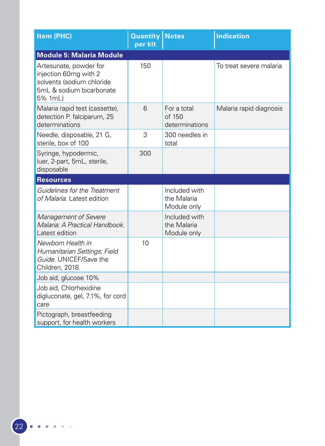| Item (PHC)                                                                                                          | <b>Quantity   Notes</b><br>per kit |                                             | <b>Indication</b>       |
|---------------------------------------------------------------------------------------------------------------------|------------------------------------|---------------------------------------------|-------------------------|
| <b>Module 5: Malaria Module</b>                                                                                     |                                    |                                             |                         |
| Artesunate, powder for<br>injection 60mg with 2<br>solvents (sodium chloride<br>5mL & sodium bicarbonate<br>5% 1mL) | 150                                |                                             | To treat severe malaria |
| Malaria rapid test (cassette),<br>detection P. falciparum, 25<br>determinations                                     | 6                                  | For a total<br>of 150<br>determinations     | Malaria rapid diagnosis |
| Needle, disposable, 21 G,<br>sterile, box of 100                                                                    | 3                                  | 300 needles in<br>total                     |                         |
| Syringe, hypodermic,<br>luer, 2-part, 5mL, sterile,<br>disposable                                                   | 300                                |                                             |                         |
| <b>Resources</b>                                                                                                    |                                    |                                             |                         |
| Guidelines for the Treatment<br>of Malaria. Latest edition                                                          |                                    | Included with<br>the Malaria<br>Module only |                         |
| <b>Management of Severe</b><br>Malaria: A Practical Handbook.<br>Latest edition                                     |                                    | Included with<br>the Malaria<br>Module only |                         |
| Newborn Health in<br>Humanitarian Settings: Field<br>Guide. UNICEF/Save the<br>Children, 2018.                      | 10                                 |                                             |                         |
| Job aid, glucose 10%                                                                                                |                                    |                                             |                         |
| Job aid, Chlorhexidine<br>digluconate, gel, 7.1%, for cord<br>care                                                  |                                    |                                             |                         |
| Pictograph, breastfeeding<br>support, for health workers                                                            |                                    |                                             |                         |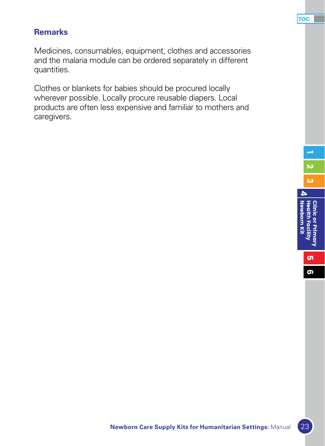#### **Remarks**

Medicines, consumables, equipment, clothes and accessories and the malaria module can be ordered separately in different quantities.

Clothes or blankets for babies should be procured locally wherever possible. Locally procure reusable diapers. Local products are often less expensive and familiar to mothers and caregivers.

ග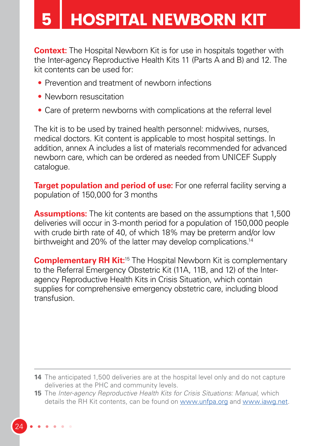# 5 HOSPITAL NEWBORN KIT

**Context:** The Hospital Newborn Kit is for use in hospitals together with the Inter-agency Reproductive Health Kits 11 (Parts A and B) and 12. The kit contents can be used for:

- Prevention and treatment of newborn infections
- **•** Newborn resuscitation
- **•** Care of preterm newborns with complications at the referral level

The kit is to be used by trained health personnel: midwives, nurses, medical doctors. Kit content is applicable to most hospital settings. In addition, annex A includes a list of materials recommended for advanced newborn care, which can be ordered as needed from UNICEF Supply catalogue.

**Target population and period of use:** For one referral facility serving a population of 150,000 for 3 months

**Assumptions:** The kit contents are based on the assumptions that 1,500 deliveries will occur in 3-month period for a population of 150,000 people with crude birth rate of 40, of which 18% may be preterm and/or low birthweight and 20% of the latter may develop complications.<sup>14</sup>

**Complementary RH Kit:**<sup>15</sup> The Hospital Newborn Kit is complementary to the Referral Emergency Obstetric Kit (11A, 11B, and 12) of the Interagency Reproductive Health Kits in Crisis Situation, which contain supplies for comprehensive emergency obstetric care, including blood transfusion.

**<sup>15</sup>** The *Inter-agency Reproductive Health Kits for Crisis Situations: Manual*, which details the RH Kit contents, can be found on [www.unfpa.org](http://www.unfpa.org) and [www.iawg.net.](http://www.iawg.net)



**<sup>14</sup>** The anticipated 1,500 deliveries are at the hospital level only and do not capture deliveries at the PHC and community levels.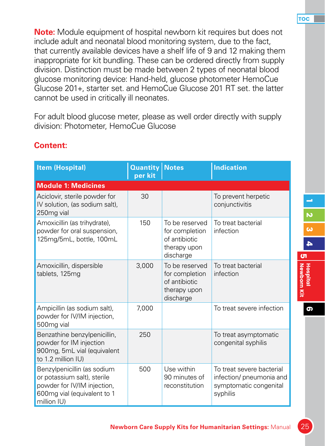**Note:** Module equipment of hospital newborn kit requires but does not include adult and neonatal blood monitoring system, due to the fact, that currently available devices have a shelf life of 9 and 12 making them inappropriate for kit bundling. These can be ordered directly from supply division. Distinction must be made between 2 types of neonatal blood glucose monitoring device: Hand-held, glucose photometer HemoCue Glucose 201+, starter set. and HemoCue Glucose 201 RT set. the latter cannot be used in critically ill neonates.

For adult blood glucose meter, please as well order directly with supply division: Photometer, HemoCue Glucose

| <b>Item (Hospital)</b>                                                                                                                  | <b>Quantity</b><br>per kit | <b>Notes</b>                                                                   | <b>Indication</b>                                                                           |
|-----------------------------------------------------------------------------------------------------------------------------------------|----------------------------|--------------------------------------------------------------------------------|---------------------------------------------------------------------------------------------|
| <b>Module 1: Medicines</b>                                                                                                              |                            |                                                                                |                                                                                             |
| Aciclovir, sterile powder for<br>IV solution, (as sodium salt),<br>250 <sub>mg vial</sub>                                               | 30                         |                                                                                | To prevent herpetic<br>conjunctivitis                                                       |
| Amoxicillin (as trihydrate),<br>powder for oral suspension,<br>125mg/5mL, bottle, 100mL                                                 | 150                        | To be reserved<br>for completion<br>of antibiotic<br>therapy upon<br>discharge | To treat bacterial<br>infection                                                             |
| Amoxicillin, dispersible<br>tablets, 125mg                                                                                              | 3,000                      | To be reserved<br>for completion<br>of antibiotic<br>therapy upon<br>discharge | To treat bacterial<br>infection                                                             |
| Ampicillin (as sodium salt),<br>powder for IV/IM injection,<br>500mg vial                                                               | 7.000                      |                                                                                | To treat severe infection                                                                   |
| Benzathine benzylpenicillin,<br>powder for IM injection<br>900mg, 5mL vial (equivalent<br>to 1.2 million IU)                            | 250                        |                                                                                | To treat asymptomatic<br>congenital syphilis                                                |
| Benzylpenicillin (as sodium<br>or potassium salt), sterile<br>powder for IV/IM injection,<br>600mg vial (equivalent to 1<br>million IU) | 500                        | Use within<br>90 minutes of<br>reconstitution                                  | To treat severe bacterial<br>infection/ pneumonia and<br>symptomatic congenital<br>syphilis |

#### **Content:**

4 <mark>ហ</mark>

3 2 1

 $\overline{M}$ ω

Hospital<br>Newborn Kit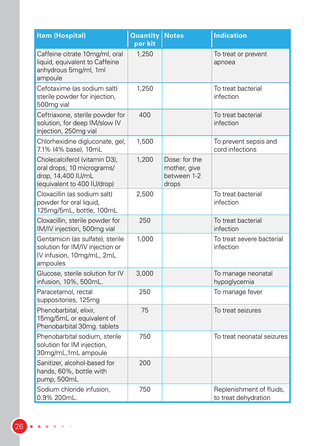| <b>Item (Hospital)</b>                                                                                           | <b>Quantity</b><br>per kit | <b>Notes</b>                                          | <b>Indication</b>                                |
|------------------------------------------------------------------------------------------------------------------|----------------------------|-------------------------------------------------------|--------------------------------------------------|
| Caffeine citrate 10mg/ml, oral<br>liquid, equivalent to Caffeine<br>anhydrous 5mg/ml, 1ml<br>ampoule             | 1,250                      |                                                       | To treat or prevent<br>apnoea                    |
| Cefotaxime (as sodium salt)<br>sterile powder for injection,<br>500mg vial                                       | 1,250                      |                                                       | To treat bacterial<br>infection                  |
| Ceftriaxone, sterile powder for<br>solution, for deep IM/slow IV<br>injection, 250mg vial                        | 400                        |                                                       | To treat bacterial<br>infection                  |
| Chlorhexidine digluconate, gel,<br>7.1% (4% base), 10mL                                                          | 1,500                      |                                                       | To prevent sepsis and<br>cord infections         |
| Cholecalciferol (vitamin D3),<br>oral drops, 10 micrograms/<br>drop, 14,400 IU/mL<br>(equivalent to 400 IU/drop) | 1,200                      | Dose: for the<br>mother, give<br>between 1-2<br>drops |                                                  |
| Cloxacillin (as sodium salt)<br>powder for oral liquid,<br>125mg/5mL, bottle, 100mL                              | 2,500                      |                                                       | To treat bacterial<br>infection                  |
| Cloxacillin, sterile powder for<br>IM/IV injection, 500mg vial                                                   | 250                        |                                                       | To treat bacterial<br>infection                  |
| Gentamicin (as sulfate), sterile<br>solution for IM/IV injection or<br>IV infusion, 10mg/mL, 2mL<br>ampoules     | 1,000                      |                                                       | To treat severe bacterial<br>infection           |
| Glucose, sterile solution for IV<br>infusion, 10%, 500mL.                                                        | 3,000                      |                                                       | To manage neonatal<br>hypoglycemia               |
| Paracetamol, rectal<br>suppositories, 125mg                                                                      | 250                        |                                                       | To manage fever                                  |
| Phenobarbital, elixir,<br>15mg/5mL or equivalent of<br>Phenobarbital 30mg. tablets                               | 75                         |                                                       | To treat seizures                                |
| Phenobarbital sodium, sterile<br>solution for IM injection,<br>30mg/mL,1mL ampoule                               | 750                        |                                                       | To treat neonatal seizures                       |
| Sanitizer, alcohol-based for<br>hands, 60%, bottle with<br>pump, 500mL                                           | 200                        |                                                       |                                                  |
| Sodium chloride infusion,<br>0.9% 200mL.                                                                         | 750                        |                                                       | Replenishment of fluids,<br>to treat dehydration |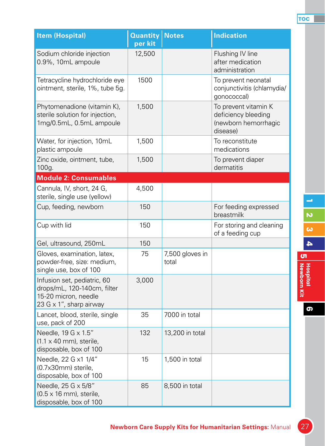| <b>Item (Hospital)</b>                                                                                        | Quantity<br>per kit | <b>Notes</b>             | <b>Indication</b>                                                               |
|---------------------------------------------------------------------------------------------------------------|---------------------|--------------------------|---------------------------------------------------------------------------------|
| Sodium chloride injection<br>0.9%, 10mL ampoule                                                               | 12,500              |                          | Flushing IV line<br>after medication<br>administration                          |
| Tetracycline hydrochloride eye<br>ointment, sterile, 1%, tube 5g.                                             | 1500                |                          | To prevent neonatal<br>conjunctivitis (chlamydia/<br>gonococcal)                |
| Phytomenadione (vitamin K),<br>sterile solution for injection,<br>1mg/0.5mL, 0.5mL ampoule                    | 1,500               |                          | To prevent vitamin K<br>deficiency bleeding<br>(newborn hemorrhagic<br>disease) |
| Water, for injection, 10mL<br>plastic ampoule                                                                 | 1,500               |                          | To reconstitute<br>medications                                                  |
| Zinc oxide, ointment, tube,<br>100g.                                                                          | 1,500               |                          | To prevent diaper<br>dermatitis                                                 |
| <b>Module 2: Consumables</b>                                                                                  |                     |                          |                                                                                 |
| Cannula, IV, short, 24 G,<br>sterile, single use (yellow)                                                     | 4,500               |                          |                                                                                 |
| Cup, feeding, newborn                                                                                         | 150                 |                          | For feeding expressed<br>breastmilk                                             |
| Cup with lid                                                                                                  | 150                 |                          | For storing and cleaning<br>of a feeding cup                                    |
| Gel, ultrasound, 250mL                                                                                        | 150                 |                          |                                                                                 |
| Gloves, examination, latex,<br>powder-free, size: medium,<br>single use, box of 100                           | 75                  | 7,500 gloves in<br>total |                                                                                 |
| Infusion set, pediatric, 60<br>drops/mL, 120-140cm, filter<br>15-20 micron, needle<br>23 G x 1", sharp airway | 3,000               |                          |                                                                                 |
| Lancet, blood, sterile, single<br>use, pack of 200                                                            | 35                  | 7000 in total            |                                                                                 |
| Needle, 19 G x 1.5"<br>$(1.1 \times 40 \text{ mm})$ , sterile,<br>disposable, box of 100                      | 132                 | 13,200 in total          |                                                                                 |
| Needle, 22 G x1 1/4"<br>(0.7x30mm) sterile,<br>disposable, box of 100                                         | 15                  | 1,500 in total           |                                                                                 |
| Needle, 25 G x 5/8"<br>$(0.5 \times 16$ mm), sterile,<br>disposable, box of 100                               | 85                  | 8,500 in total           |                                                                                 |

TOC

4 5

3 2 1

۳  $\overline{\mathbf{z}}$  $\boldsymbol{\omega}$ 

Newborn Kit Hospital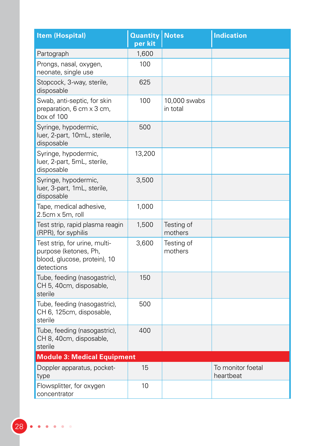| <b>Item (Hospital)</b>                                                                               | <b>Quantity</b><br>per kit | <b>Notes</b>             | <b>Indication</b>              |
|------------------------------------------------------------------------------------------------------|----------------------------|--------------------------|--------------------------------|
| Partograph                                                                                           | 1,600                      |                          |                                |
| Prongs, nasal, oxygen,<br>neonate, single use                                                        | 100                        |                          |                                |
| Stopcock, 3-way, sterile,<br>disposable                                                              | 625                        |                          |                                |
| Swab, anti-septic, for skin<br>preparation, 6 cm x 3 cm,<br>box of 100                               | 100                        | 10,000 swabs<br>in total |                                |
| Syringe, hypodermic,<br>luer, 2-part, 10mL, sterile,<br>disposable                                   | 500                        |                          |                                |
| Syringe, hypodermic,<br>luer, 2-part, 5mL, sterile,<br>disposable                                    | 13,200                     |                          |                                |
| Syringe, hypodermic,<br>luer, 3-part, 1mL, sterile,<br>disposable                                    | 3,500                      |                          |                                |
| Tape, medical adhesive,<br>2.5cm x 5m, roll                                                          | 1,000                      |                          |                                |
| Test strip, rapid plasma reagin<br>(RPR), for syphilis                                               | 1,500                      | Testing of<br>mothers    |                                |
| Test strip, for urine, multi-<br>purpose (ketones, Ph,<br>blood, glucose, protein), 10<br>detections | 3,600                      | Testing of<br>mothers    |                                |
| Tube, feeding (nasogastric),<br>CH 5, 40cm, disposable,<br>sterile                                   | 150                        |                          |                                |
| Tube, feeding (nasogastric),<br>CH 6, 125cm, disposable,<br>sterile                                  | 500                        |                          |                                |
| Tube, feeding (nasogastric),<br>CH 8, 40cm, disposable,<br>sterile                                   | 400                        |                          |                                |
| <b>Module 3: Medical Equipment</b>                                                                   |                            |                          |                                |
| Doppler apparatus, pocket-<br>type                                                                   | 15                         |                          | To monitor foetal<br>heartheat |
| Flowsplitter, for oxygen<br>concentrator                                                             | 10                         |                          |                                |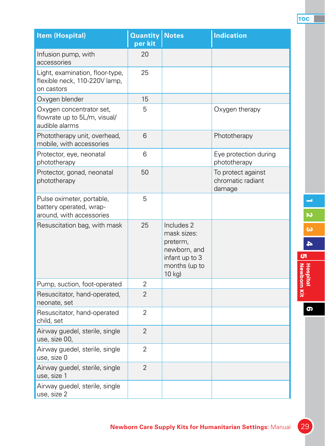| <b>Item (Hospital)</b>                                                           | <b>Quantity</b><br>per kit | <b>Notes</b>                                                                                                  | <b>Indication</b>                                 |
|----------------------------------------------------------------------------------|----------------------------|---------------------------------------------------------------------------------------------------------------|---------------------------------------------------|
| Infusion pump, with<br>accessories                                               | 20                         |                                                                                                               |                                                   |
| Light, examination, floor-type,<br>flexible neck, 110-220V lamp,<br>on castors   | 25                         |                                                                                                               |                                                   |
| Oxygen blender                                                                   | 15                         |                                                                                                               |                                                   |
| Oxygen concentrator set,<br>flowrate up to 5L/m, visual/<br>audible alarms       | 5                          |                                                                                                               | Oxygen therapy                                    |
| Phototherapy unit, overhead,<br>mobile, with accessories                         | 6                          |                                                                                                               | Phototherapy                                      |
| Protector, eye, neonatal<br>phototherapy                                         | 6                          |                                                                                                               | Eye protection during<br>phototherapy             |
| Protector, gonad, neonatal<br>phototherapy                                       | 50                         |                                                                                                               | To protect against<br>chromatic radiant<br>damage |
| Pulse oximeter, portable,<br>battery operated, wrap-<br>around, with accessories | 5                          |                                                                                                               |                                                   |
| Resuscitation bag, with mask                                                     | 25                         | Includes <sub>2</sub><br>mask sizes:<br>preterm.<br>newborn, and<br>infant up to 3<br>months (up to<br>10 kg) |                                                   |
| Pump, suction, foot-operated                                                     | 2                          |                                                                                                               |                                                   |
| Resuscitator, hand-operated,<br>neonate, set                                     | $\overline{2}$             |                                                                                                               |                                                   |
| Resuscitator, hand-operated<br>child, set                                        | $\overline{2}$             |                                                                                                               |                                                   |
| Airway guedel, sterile, single<br>use, size 00,                                  | $\overline{2}$             |                                                                                                               |                                                   |
| Airway guedel, sterile, single<br>use, size 0                                    | 2                          |                                                                                                               |                                                   |
| Airway guedel, sterile, single<br>use, size 1                                    | $\overline{2}$             |                                                                                                               |                                                   |
| Airway guedel, sterile, single<br>use, size 2                                    |                            |                                                                                                               |                                                   |



۳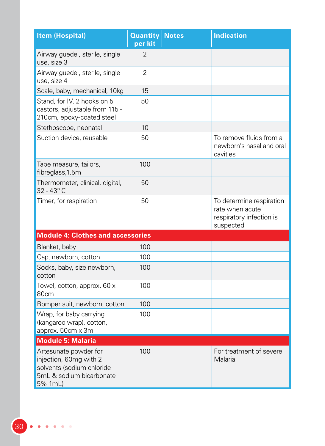| <b>Item (Hospital)</b>                                                                                              | <b>Quantity</b><br>per kit | <b>Notes</b> | <b>Indication</b>                                                                    |
|---------------------------------------------------------------------------------------------------------------------|----------------------------|--------------|--------------------------------------------------------------------------------------|
| Airway guedel, sterile, single<br>use, size 3                                                                       | 2                          |              |                                                                                      |
| Airway guedel, sterile, single<br>use, size 4                                                                       | $\overline{2}$             |              |                                                                                      |
| Scale, baby, mechanical, 10kg                                                                                       | 15                         |              |                                                                                      |
| Stand, for IV, 2 hooks on 5<br>castors, adjustable from 115 -<br>210cm, epoxy-coated steel                          | 50                         |              |                                                                                      |
| Stethoscope, neonatal                                                                                               | 10                         |              |                                                                                      |
| Suction device, reusable                                                                                            | 50                         |              | To remove fluids from a<br>newborn's nasal and oral<br>cavities                      |
| Tape measure, tailors,<br>fibreglass, 1.5m                                                                          | 100                        |              |                                                                                      |
| Thermometer, clinical, digital,<br>$32 - 43^{\circ}$ C                                                              | 50                         |              |                                                                                      |
| Timer, for respiration                                                                                              | 50                         |              | To determine respiration<br>rate when acute<br>respiratory infection is<br>suspected |
| <b>Module 4: Clothes and accessories</b>                                                                            |                            |              |                                                                                      |
| Blanket, baby                                                                                                       | 100                        |              |                                                                                      |
| Cap, newborn, cotton                                                                                                | 100                        |              |                                                                                      |
| Socks, baby, size newborn,<br>cotton                                                                                | 100                        |              |                                                                                      |
| Towel, cotton, approx. 60 x<br>80cm                                                                                 | 100                        |              |                                                                                      |
| Romper suit, newborn, cotton                                                                                        | 100                        |              |                                                                                      |
| Wrap, for baby carrying<br>(kangaroo wrap), cotton,<br>approx. 50cm x 3m                                            | 100                        |              |                                                                                      |
| <b>Module 5: Malaria</b>                                                                                            |                            |              |                                                                                      |
| Artesunate powder for<br>injection, 60mg with 2<br>solvents (sodium chloride<br>5mL & sodium bicarbonate<br>5% 1mL) | 100                        |              | For treatment of severe<br>Malaria                                                   |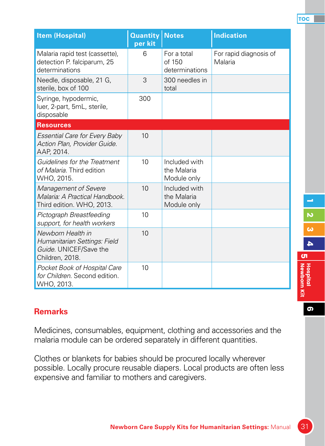| <b>Item (Hospital)</b>                                                                         | <b>Quantity   Notes</b><br>per kit |                                             | <b>Indication</b>                 |
|------------------------------------------------------------------------------------------------|------------------------------------|---------------------------------------------|-----------------------------------|
| Malaria rapid test (cassette),<br>detection P. falciparum, 25<br>determinations                | 6                                  | For a total<br>of 150<br>determinations     | For rapid diagnosis of<br>Malaria |
| Needle, disposable, 21 G,<br>sterile, box of 100                                               | 3                                  | 300 needles in<br>total                     |                                   |
| Syringe, hypodermic,<br>luer, 2-part, 5mL, sterile,<br>disposable                              | 300                                |                                             |                                   |
| <b>Resources</b>                                                                               |                                    |                                             |                                   |
| <b>Essential Care for Every Baby</b><br>Action Plan, Provider Guide.<br>AAP, 2014.             | 10                                 |                                             |                                   |
| Guidelines for the Treatment<br>of Malaria. Third edition<br>WHO, 2015.                        | 10                                 | Included with<br>the Malaria<br>Module only |                                   |
| Management of Severe<br>Malaria: A Practical Handbook.<br>Third edition. WHO, 2013.            | 10                                 | Included with<br>the Malaria<br>Module only |                                   |
| Pictograph Breastfeeding<br>support, for health workers                                        | 10                                 |                                             |                                   |
| Newborn Health in<br>Humanitarian Settings: Field<br>Guide, UNICEF/Save the<br>Children, 2018. | 10                                 |                                             |                                   |
| Pocket Book of Hospital Care<br>for Children. Second edition.<br>WHO, 2013.                    | 10                                 |                                             |                                   |

#### **Remarks**

Medicines, consumables, equipment, clothing and accessories and the malaria module can be ordered separately in different quantities.

Clothes or blankets for babies should be procured locally wherever possible. Locally procure reusable diapers. Local products are often less expensive and familiar to mothers and caregivers.

 $\blacktriangle$ 5

3 2 1

ш,  $\overline{M}$  $\boldsymbol{\omega}$ 

Hospital<br>Newborn Kit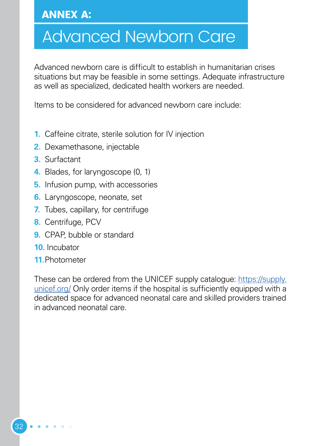### ANNEX A:

## Advanced Newborn Care

Advanced newborn care is difficult to establish in humanitarian crises situations but may be feasible in some settings. Adequate infrastructure as well as specialized, dedicated health workers are needed.

Items to be considered for advanced newborn care include:

- **1.** Caffeine citrate, sterile solution for IV injection
- **2.** Dexamethasone, injectable
- **3.** Surfactant
- **4.** Blades, for laryngoscope (0, 1)
- **5.** Infusion pump, with accessories
- **6.** Laryngoscope, neonate, set
- **7.** Tubes, capillary, for centrifuge
- **8.** Centrifuge, PCV
- **9.** CPAP, bubble or standard
- **10.** Incubator
- **11.**Photometer

These can be ordered from the UNICEF supply catalogue: [https://supply.](https://supply.unicef.org/) [unicef.org/](https://supply.unicef.org/) Only order items if the hospital is sufficiently equipped with a dedicated space for advanced neonatal care and skilled providers trained in advanced neonatal care.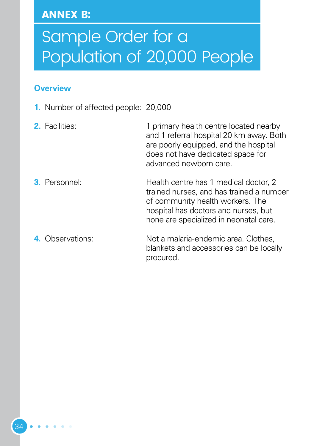#### ANNEX B:

## Sample Order for a Population of 20,000 People

#### **Overview**

- **1.** Number of affected people: 20,000
- **2.** Facilities: 1 primary health centre located nearby and 1 referral hospital 20 km away. Both are poorly equipped, and the hospital does not have dedicated space for advanced newborn care.
- **3.** Personnel: **Health centre has 1 medical doctor, 2** trained nurses, and has trained a number of community health workers. The hospital has doctors and nurses, but none are specialized in neonatal care.
- **4.** Observations: Not a malaria-endemic area. Clothes, blankets and accessories can be locally procured.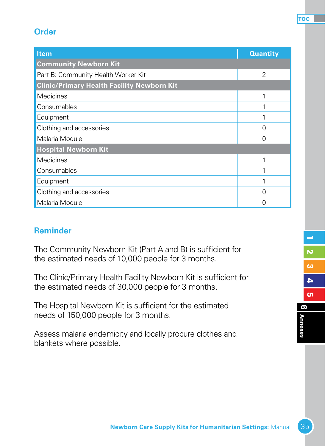#### **Order**

| <b>Item</b>                                       | <b>Quantity</b> |
|---------------------------------------------------|-----------------|
| <b>Community Newborn Kit</b>                      |                 |
| Part B: Community Health Worker Kit               | 2               |
| <b>Clinic/Primary Health Facility Newborn Kit</b> |                 |
| <b>Medicines</b>                                  | 1               |
| Consumables                                       |                 |
| Equipment                                         |                 |
| Clothing and accessories                          | 0               |
| Malaria Module                                    | U               |
| <b>Hospital Newborn Kit</b>                       |                 |
| <b>Medicines</b>                                  | 1               |
| Consumables                                       |                 |
| Equipment                                         | 1               |
| Clothing and accessories                          | O               |
| Malaria Module                                    |                 |

#### **Reminder**

The Community Newborn Kit (Part A and B) is sufficient for the estimated needs of 10,000 people for 3 months.

The Clinic/Primary Health Facility Newborn Kit is sufficient for the estimated needs of 30,000 people for 3 months.

The Hospital Newborn Kit is sufficient for the estimated needs of 150,000 people for 3 months.

Assess malaria endemicity and locally procure clothes and blankets where possible.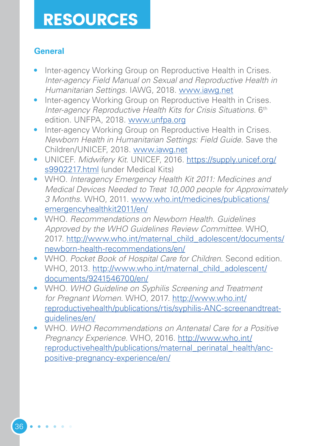### RESOURCES

#### **General**

- **•** Inter-agency Working Group on Reproductive Health in Crises*. Inter-agency Field Manual on Sexual and Reproductive Health in Humanitarian Settings*. IAWG, 2018. [www.iawg.net](http://www.iawg.net)
- **•** Inter-agency Working Group on Reproductive Health in Crises*. Inter-agency Reproductive Health Kits for Crisis Situations.* 6th edition. UNFPA, 2018. [www.unfpa.org](http://www.unfpa.org)
- **•** Inter-agency Working Group on Reproductive Health in Crises*. Newborn Health in Humanitarian Settings: Field Guide.* Save the Children/UNICEF, 2018. [www.iawg.net](http://www.iawg.net)
- **•** UNICEF. *Midwifery Kit.* UNICEF, 2016. [https://supply.unicef.org/](https://supply.unicef.org/s9902217.html) [s9902217.html](https://supply.unicef.org/s9902217.html) (under Medical Kits)
- **•** WHO. *Interagency Emergency Health Kit 2011: Medicines and Medical Devices Needed to Treat 10,000 people for Approximately 3 Months.* WHO, 2011. [www.who.int/medicines/publications/](http://www.who.int/medicines/publications/emergencyhealthkit2011/en/) [emergencyhealthkit2011/en/](http://www.who.int/medicines/publications/emergencyhealthkit2011/en/)
- **•** WHO. *Recommendations on Newborn Health. Guidelines Approved by the WHO Guidelines Review Committee.* WHO, 2017. [http://www.who.int/maternal\\_child\\_adolescent/documents/](http://www.who.int/maternal_child_adolescent/documents/newborn-health-recommendations/en/) [newborn-health-recommendations/en/](http://www.who.int/maternal_child_adolescent/documents/newborn-health-recommendations/en/)
- **•** WHO. *Pocket Book of Hospital Care for Children*. Second edition. WHO, 2013. [http://www.who.int/maternal\\_child\\_adolescent/](http://www.who.int/maternal_child_adolescent/documents/9241546700/en/) [documents/9241546700/en/](http://www.who.int/maternal_child_adolescent/documents/9241546700/en/)
- **•** WHO. *WHO Guideline on Syphilis Screening and Treatment for Pregnant Women.* WHO, 2017. [http://www.who.int/](http://www.who.int/reproductivehealth/publications/rtis/syphilis-ANC-screenandtreat-guidelines/en/) [reproductivehealth/publications/rtis/syphilis-ANC-screenandtreat](http://www.who.int/reproductivehealth/publications/rtis/syphilis-ANC-screenandtreat-guidelines/en/)[guidelines/en/](http://www.who.int/reproductivehealth/publications/rtis/syphilis-ANC-screenandtreat-guidelines/en/)
- **•** WHO. *WHO Recommendations on Antenatal Care for a Positive Pregnancy Experience.* WHO, 2016. [http://www.who.int/](http://www.who.int/reproductivehealth/publications/maternal_perinatal_health/anc-positive-pregnancy-experience/en/) [reproductivehealth/publications/maternal\\_perinatal\\_health/anc](http://www.who.int/reproductivehealth/publications/maternal_perinatal_health/anc-positive-pregnancy-experience/en/)[positive-pregnancy-experience/en/](http://www.who.int/reproductivehealth/publications/maternal_perinatal_health/anc-positive-pregnancy-experience/en/)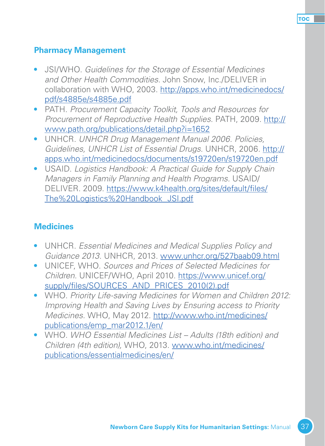#### **Pharmacy Management**

- **•** JSI/WHO. *Guidelines for the Storage of Essential Medicines and Other Health Commodities.* John Snow, Inc./DELIVER in collaboration with WHO, 2003. [http://apps.who.int/medicinedocs/](http://apps.who.int/medicinedocs/pdf/s4885e/s4885e.pdf) [pdf/s4885e/s4885e.pdf](http://apps.who.int/medicinedocs/pdf/s4885e/s4885e.pdf)
- **•** PATH. *Procurement Capacity Toolkit, Tools and Resources for Procurement of Reproductive Health Supplies.* PATH, 2009. [http://](http://www.path.org/publications/detail.php?i=1652) [www.path.org/publications/detail.php?i=1652](http://www.path.org/publications/detail.php?i=1652)
- **•** UNHCR. *UNHCR Drug Management Manual 2006. Policies, Guidelines, UNHCR List of Essential Drugs.* UNHCR, 2006. [http://](http://apps.who.int/medicinedocs/documents/s19720en/s19720en.pdf) [apps.who.int/medicinedocs/documents/s19720en/s19720en.pdf](http://apps.who.int/medicinedocs/documents/s19720en/s19720en.pdf)
- **•** USAID. *Logistics Handbook: A Practical Guide for Supply Chain Managers in Family Planning and Health Programs.* USAID/ DELIVER. 2009. [https://www.k4health.org/sites/default/files/](https://www.k4health.org/sites/default/files/The%20Logistics%20Handbook_JSI.pdf) [The%20Logistics%20Handbook\\_JSI.pdf](https://www.k4health.org/sites/default/files/The%20Logistics%20Handbook_JSI.pdf)

#### **Medicines**

- **•** UNHCR. *Essential Medicines and Medical Supplies Policy and Guidance 2013*. UNHCR, 2013. [www.unhcr.org/527baab09.html](http://www.unhcr.org/527baab09.html)
- **•** UNICEF, WHO. *Sources and Prices of Selected Medicines for Children*. UNICEF/WHO, April 2010. [https://www.unicef.org/](https://www.unicef.org/supply/files/SOURCES_AND_PRICES_2010(2).pdf) [supply/files/SOURCES\\_AND\\_PRICES\\_2010\(2\).pdf](https://www.unicef.org/supply/files/SOURCES_AND_PRICES_2010(2).pdf)
- **•** WHO. *Priority Life-saving Medicines for Women and Children 2012: Improving Health and Saving Lives by Ensuring access to Priority Medicines.* WHO, May 2012. [http://www.who.int/medicines/](http://www.who.int/medicines/publications/emp_mar2012.1/en/) [publications/emp\\_mar2012.1/en/](http://www.who.int/medicines/publications/emp_mar2012.1/en/)
- **•** WHO. *WHO Essential Medicines List Adults (18th edition) and Children (4th edition),* WHO, 2013. [www.who.int/medicines/](http://www.who.int/medicines/publications/essentialmedicines/en/) [publications/essentialmedicines/en/](http://www.who.int/medicines/publications/essentialmedicines/en/)